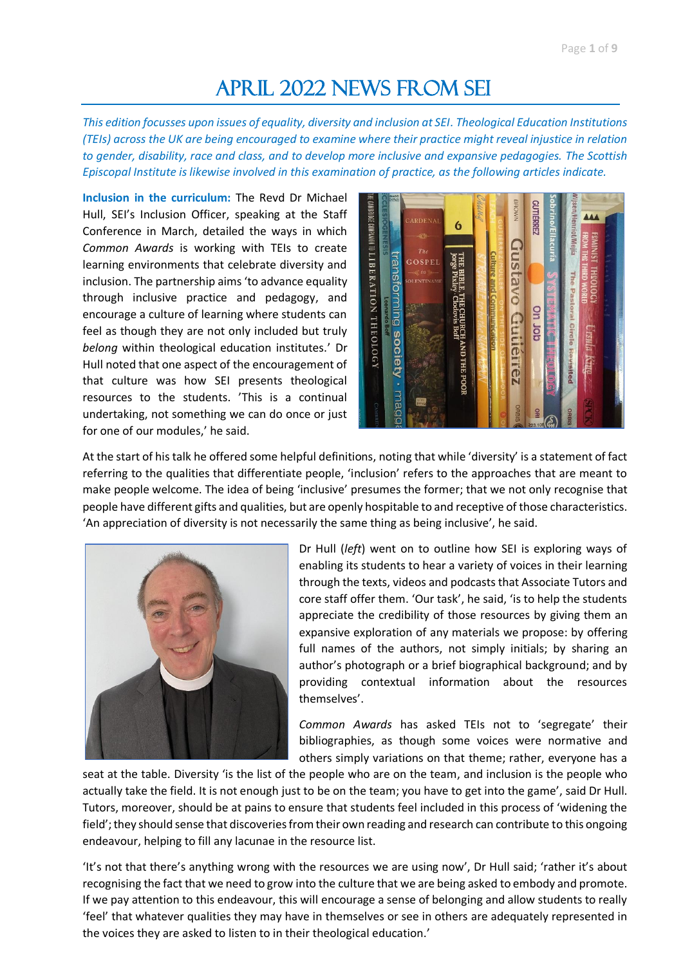## APRIL 2022 NEWS FROM SEI

*This edition focusses upon issues of equality, diversity and inclusion at SEI. Theological Education Institutions (TEIs) across the UK are being encouraged to examine where their practice might reveal injustice in relation to gender, disability, race and class, and to develop more inclusive and expansive pedagogies. The Scottish Episcopal Institute is likewise involved in this examination of practice, as the following articles indicate.*

**Inclusion in the curriculum:** The Revd Dr Michael Hull, SEI's Inclusion Officer, speaking at the Staff Conference in March, detailed the ways in which *Common Awards* is working with TEIs to create learning environments that celebrate diversity and inclusion. The partnership aims 'to advance equality through inclusive practice and pedagogy, and encourage a culture of learning where students can feel as though they are not only included but truly *belong* within theological education institutes.' Dr Hull noted that one aspect of the encouragement of that culture was how SEI presents theological resources to the students. 'This is a continual undertaking, not something we can do once or just for one of our modules,' he said.



At the start of his talk he offered some helpful definitions, noting that while 'diversity' is a statement of fact referring to the qualities that differentiate people, 'inclusion' refers to the approaches that are meant to make people welcome. The idea of being 'inclusive' presumes the former; that we not only recognise that people have different gifts and qualities, but are openly hospitable to and receptive of those characteristics. 'An appreciation of diversity is not necessarily the same thing as being inclusive', he said.



Dr Hull (*left*) went on to outline how SEI is exploring ways of enabling its students to hear a variety of voices in their learning through the texts, videos and podcasts that Associate Tutors and core staff offer them. 'Our task', he said, 'is to help the students appreciate the credibility of those resources by giving them an expansive exploration of any materials we propose: by offering full names of the authors, not simply initials; by sharing an author's photograph or a brief biographical background; and by providing contextual information about the resources themselves'.

*Common Awards* has asked TEIs not to 'segregate' their bibliographies, as though some voices were normative and others simply variations on that theme; rather, everyone has a

seat at the table. Diversity 'is the list of the people who are on the team, and inclusion is the people who actually take the field. It is not enough just to be on the team; you have to get into the game', said Dr Hull. Tutors, moreover, should be at pains to ensure that students feel included in this process of 'widening the field'; they should sense that discoveries from their own reading and research can contribute to this ongoing endeavour, helping to fill any lacunae in the resource list.

'It's not that there's anything wrong with the resources we are using now', Dr Hull said; 'rather it's about recognising the fact that we need to grow into the culture that we are being asked to embody and promote. If we pay attention to this endeavour, this will encourage a sense of belonging and allow students to really 'feel' that whatever qualities they may have in themselves or see in others are adequately represented in the voices they are asked to listen to in their theological education.'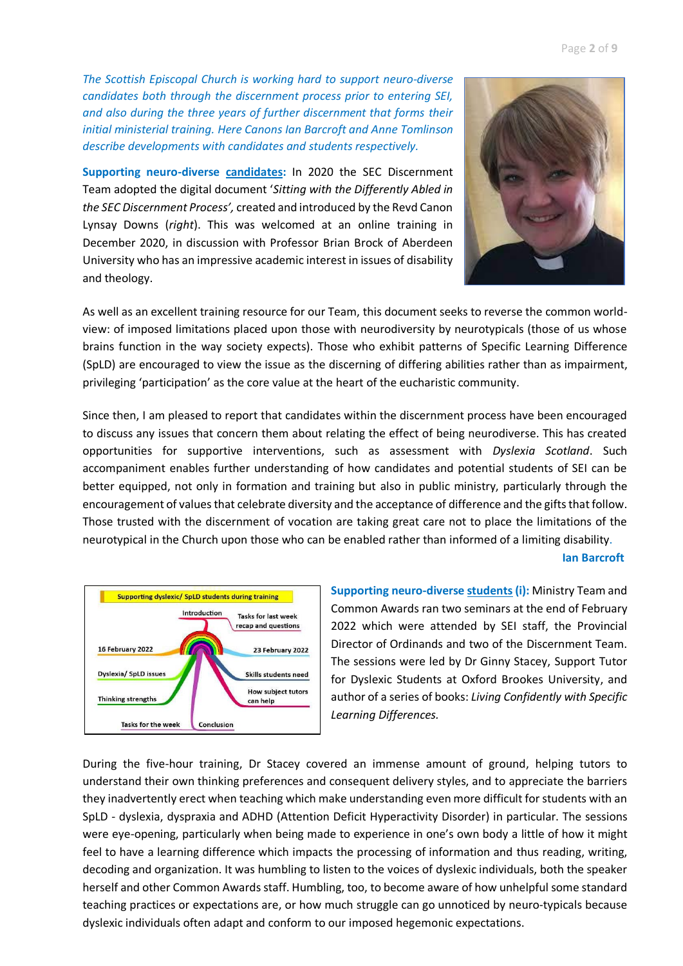**Supporting neuro-diverse candidates:** In 2020 the SEC Discernment Team adopted the digital document '*Sitting with the Differently Abled in the SEC Discernment Process',* created and introduced by the Revd Canon Lynsay Downs (*right*). This was welcomed at an online training in December 2020, in discussion with Professor Brian Brock of Aberdeen University who has an impressive academic interest in issues of disability and theology.



As well as an excellent training resource for our Team, this document seeks to reverse the common worldview: of imposed limitations placed upon those with neurodiversity by neurotypicals (those of us whose brains function in the way society expects). Those who exhibit patterns of Specific Learning Difference (SpLD) are encouraged to view the issue as the discerning of differing abilities rather than as impairment, privileging 'participation' as the core value at the heart of the eucharistic community.

Since then, I am pleased to report that candidates within the discernment process have been encouraged to discuss any issues that concern them about relating the effect of being neurodiverse. This has created opportunities for supportive interventions, such as assessment with *Dyslexia Scotland*. Such accompaniment enables further understanding of how candidates and potential students of SEI can be better equipped, not only in formation and training but also in public ministry, particularly through the encouragement of values that celebrate diversity and the acceptance of difference and the gifts that follow. Those trusted with the discernment of vocation are taking great care not to place the limitations of the neurotypical in the Church upon those who can be enabled rather than informed of a limiting disability.

## **Ian Barcroft**



**Supporting neuro-diverse students(i):** Ministry Team and Common Awards ran two seminars at the end of February 2022 which were attended by SEI staff, the Provincial Director of Ordinands and two of the Discernment Team. The sessions were led by Dr Ginny Stacey, Support Tutor for Dyslexic Students at Oxford Brookes University, and author of a series of books: *Living Confidently with Specific Learning Differences.* 

During the five-hour training, Dr Stacey covered an immense amount of ground, helping tutors to understand their own thinking preferences and consequent delivery styles, and to appreciate the barriers they inadvertently erect when teaching which make understanding even more difficult for students with an SpLD - dyslexia, dyspraxia and ADHD (Attention Deficit Hyperactivity Disorder) in particular. The sessions were eye-opening, particularly when being made to experience in one's own body a little of how it might feel to have a learning difference which impacts the processing of information and thus reading, writing, decoding and organization. It was humbling to listen to the voices of dyslexic individuals, both the speaker herself and other Common Awards staff. Humbling, too, to become aware of how unhelpful some standard teaching practices or expectations are, or how much struggle can go unnoticed by neuro-typicals because dyslexic individuals often adapt and conform to our imposed hegemonic expectations.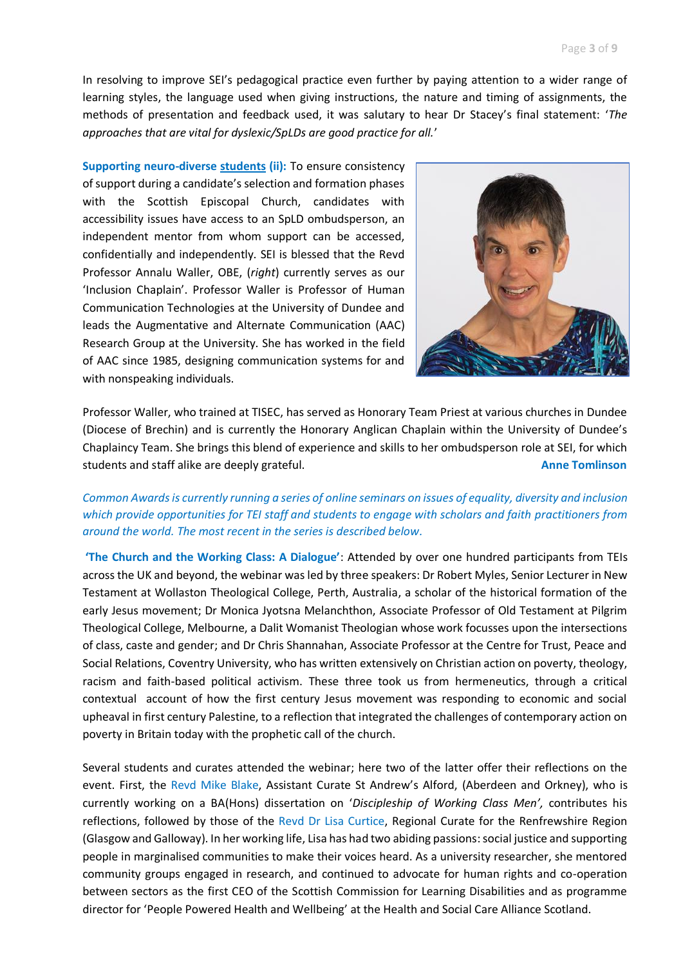In resolving to improve SEI's pedagogical practice even further by paying attention to a wider range of learning styles, the language used when giving instructions, the nature and timing of assignments, the methods of presentation and feedback used, it was salutary to hear Dr Stacey's final statement: '*The approaches that are vital for dyslexic/SpLDs are good practice for all.*'

**Supporting neuro-diverse students (ii):** To ensure consistency of support during a candidate's selection and formation phases with the Scottish Episcopal Church, candidates with accessibility issues have access to an SpLD ombudsperson, an independent mentor from whom support can be accessed, confidentially and independently. SEI is blessed that the Revd Professor Annalu Waller, OBE, (*right*) currently serves as our 'Inclusion Chaplain'. Professor Waller is Professor of Human Communication Technologies at the University of Dundee and leads the Augmentative and Alternate Communication (AAC) Research Group at the University. She has worked in the field of AAC since 1985, designing communication systems for and with nonspeaking individuals.



Professor Waller, who trained at TISEC, has served as Honorary Team Priest at various churches in Dundee (Diocese of Brechin) and is currently the Honorary Anglican Chaplain within the University of Dundee's Chaplaincy Team. She brings this blend of experience and skills to her ombudsperson role at SEI, for which students and staff alike are deeply grateful. **Anne Tomlinson Anne Tomlinson** 

## *Common Awards is currently running a series of online seminars on issues of equality, diversity and inclusion which provide opportunities for TEI staff and students to engage with scholars and faith practitioners from around the world. The most recent in the series is described below.*

**'The Church and the Working Class: A Dialogue'**: Attended by over one hundred participants from TEIs across the UK and beyond, the webinar was led by three speakers: Dr Robert Myles, Senior Lecturer in New Testament at Wollaston Theological College, Perth, Australia, a scholar of the historical formation of the early Jesus movement; Dr Monica Jyotsna Melanchthon, Associate Professor of Old Testament at Pilgrim Theological College, Melbourne, a Dalit Womanist Theologian whose work focusses upon the intersections of class, caste and gender; and Dr Chris Shannahan, Associate Professor at the Centre for Trust, Peace and Social Relations, Coventry University, who has written extensively on Christian action on poverty, theology, racism and faith-based political activism. These three took us from hermeneutics, through a critical contextual account of how the first century Jesus movement was responding to economic and social upheaval in first century Palestine, to a reflection that integrated the challenges of contemporary action on poverty in Britain today with the prophetic call of the church.

Several students and curates attended the webinar; here two of the latter offer their reflections on the event. First, the Revd Mike Blake, Assistant Curate St Andrew's Alford, (Aberdeen and Orkney), who is currently working on a BA(Hons) dissertation on '*Discipleship of Working Class Men',* contributes his reflections, followed by those of the Revd Dr Lisa Curtice, Regional Curate for the Renfrewshire Region (Glasgow and Galloway). In her working life, Lisa has had two abiding passions:social justice and supporting people in marginalised communities to make their voices heard. As a university researcher, she mentored community groups engaged in research, and continued to advocate for human rights and co-operation between sectors as the first CEO of the Scottish Commission for Learning Disabilities and as programme director for 'People Powered Health and Wellbeing' at the Health and Social Care Alliance Scotland.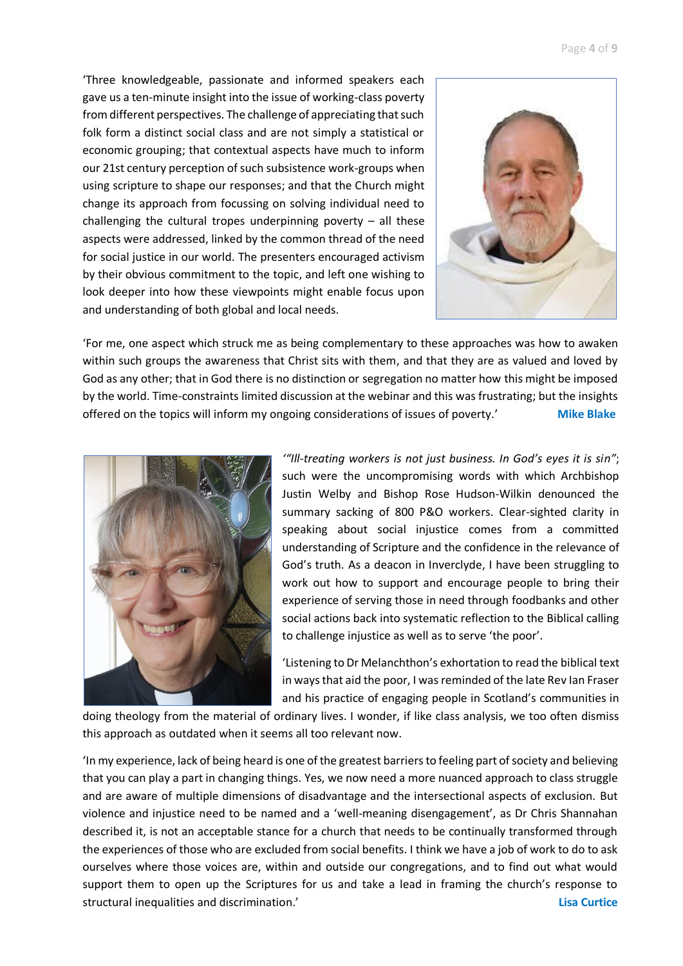'Three knowledgeable, passionate and informed speakers each gave us a ten-minute insight into the issue of working-class poverty from different perspectives. The challenge of appreciating that such folk form a distinct social class and are not simply a statistical or economic grouping; that contextual aspects have much to inform our 21st century perception of such subsistence work-groups when using scripture to shape our responses; and that the Church might change its approach from focussing on solving individual need to challenging the cultural tropes underpinning poverty  $-$  all these aspects were addressed, linked by the common thread of the need for social justice in our world. The presenters encouraged activism by their obvious commitment to the topic, and left one wishing to look deeper into how these viewpoints might enable focus upon and understanding of both global and local needs.



'For me, one aspect which struck me as being complementary to these approaches was how to awaken within such groups the awareness that Christ sits with them, and that they are as valued and loved by God as any other; that in God there is no distinction or segregation no matter how this might be imposed by the world. Time-constraints limited discussion at the webinar and this was frustrating; but the insights offered on the topics will inform my ongoing considerations of issues of poverty.' Mike Blake



*'"Ill-treating workers is not just business. In God's eyes it is sin"*; such were the uncompromising words with which Archbishop Justin Welby and Bishop Rose Hudson-Wilkin denounced the summary sacking of 800 P&O workers. Clear-sighted clarity in speaking about social injustice comes from a committed understanding of Scripture and the confidence in the relevance of God's truth. As a deacon in Inverclyde, I have been struggling to work out how to support and encourage people to bring their experience of serving those in need through foodbanks and other social actions back into systematic reflection to the Biblical calling to challenge injustice as well as to serve 'the poor'.

'Listening to Dr Melanchthon's exhortation to read the biblical text in ways that aid the poor, I was reminded of the late Rev Ian Fraser and his practice of engaging people in Scotland's communities in

doing theology from the material of ordinary lives. I wonder, if like class analysis, we too often dismiss this approach as outdated when it seems all too relevant now.

'In my experience, lack of being heard is one of the greatest barriers to feeling part of society and believing that you can play a part in changing things. Yes, we now need a more nuanced approach to class struggle and are aware of multiple dimensions of disadvantage and the intersectional aspects of exclusion. But violence and injustice need to be named and a 'well-meaning disengagement', as Dr Chris Shannahan described it, is not an acceptable stance for a church that needs to be continually transformed through the experiences of those who are excluded from social benefits. I think we have a job of work to do to ask ourselves where those voices are, within and outside our congregations, and to find out what would support them to open up the Scriptures for us and take a lead in framing the church's response to structural inequalities and discrimination.' **Lisa Curtice**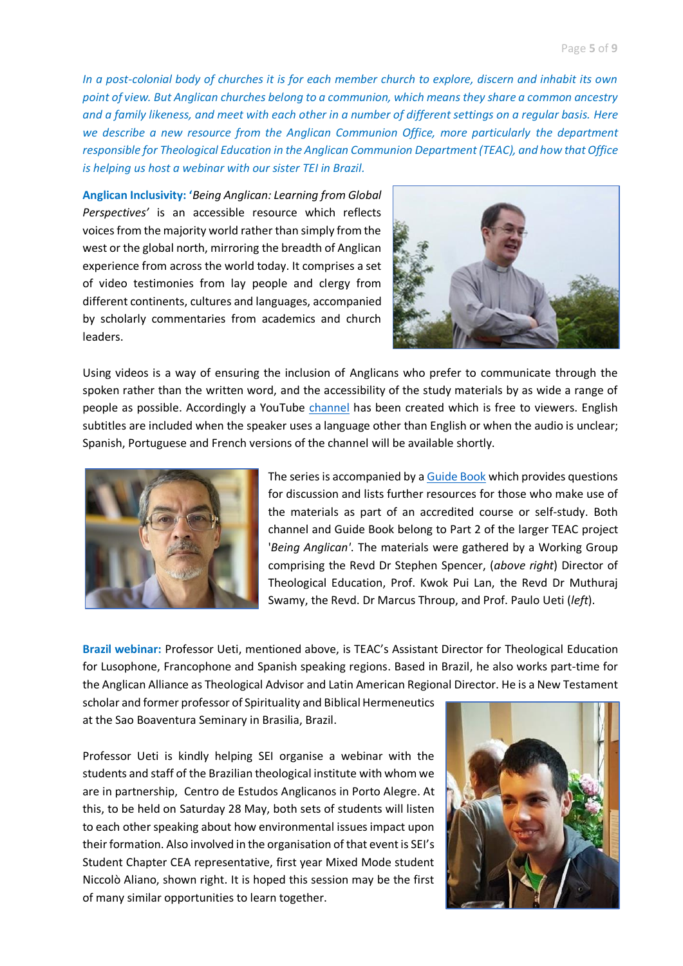*In a post-colonial body of churches it is for each member church to explore, discern and inhabit its own point of view. But Anglican churches belong to a communion, which means they share a common ancestry and a family likeness, and meet with each other in a number of different settings on a regular basis. Here we describe a new resource from the Anglican Communion Office, more particularly the department responsible for Theological Education in the Anglican Communion Department (TEAC), and how that Office is helping us host a webinar with our sister TEI in Brazil.*

**Anglican Inclusivity: '***Being Anglican: Learning from Global Perspectives'* is an accessible resource which reflects voices from the majority world rather than simply from the west or the global north, mirroring the breadth of Anglican experience from across the world today. It comprises a set of video testimonies from lay people and clergy from different continents, cultures and languages, accompanied by scholarly commentaries from academics and church leaders.



Using videos is a way of ensuring the inclusion of Anglicans who prefer to communicate through the spoken rather than the written word, and the accessibility of the study materials by as wide a range of people as possible. Accordingly a YouTube [channel](https://www.youtube.com/channel/UC-Xb_sdp8Y9guqo72m1-qhg) has been created which is free to viewers. English subtitles are included when the speaker uses a language other than English or when the audio is unclear; Spanish, Portuguese and French versions of the channel will be available shortly.



The series is accompanied by [a Guide Book](https://www.anglicancommunion.org/media/465802/TEAC_Being-Anglican-Learning-from-Global-Perspectives_WEB_2022_en.pdf) which provides questions for discussion and lists further resources for those who make use of the materials as part of an accredited course or self-study. Both channel and Guide Book belong to Part 2 of the larger TEAC project '*Being Anglican'*. The materials were gathered by a Working Group comprising the Revd Dr Stephen Spencer, (*above right*) Director of Theological Education, Prof. Kwok Pui Lan, the Revd Dr Muthuraj Swamy, the Revd. Dr Marcus Throup, and Prof. Paulo Ueti (*left*).

**Brazil webinar:** Professor Ueti, mentioned above, is TEAC's Assistant Director for Theological Education for Lusophone, Francophone and Spanish speaking regions. Based in Brazil, he also works part-time for the Anglican Alliance as Theological Advisor and Latin American Regional Director. He is a New Testament

scholar and former professor of Spirituality and Biblical Hermeneutics at the Sao Boaventura Seminary in Brasilia, Brazil.

Professor Ueti is kindly helping SEI organise a webinar with the students and staff of the Brazilian theological institute with whom we are in partnership, Centro de Estudos Anglicanos in Porto Alegre. At this, to be held on Saturday 28 May, both sets of students will listen to each other speaking about how environmental issues impact upon their formation. Also involved in the organisation of that event is SEI's Student Chapter CEA representative, first year Mixed Mode student Niccolò Aliano, shown right. It is hoped this session may be the first of many similar opportunities to learn together.

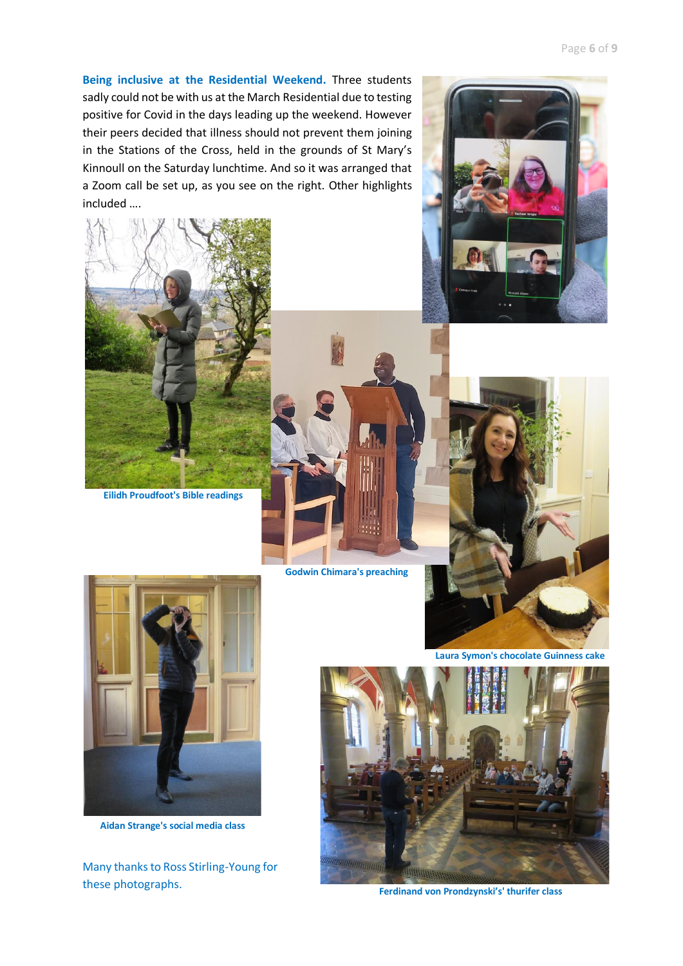**Being inclusive at the Residential Weekend.** Three students sadly could not be with us at the March Residential due to testing positive for Covid in the days leading up the weekend. However their peers decided that illness should not prevent them joining in the Stations of the Cross, held in the grounds of St Mary's Kinnoull on the Saturday lunchtime. And so it was arranged that a Zoom call be set up, as you see on the right. Other highlights included ….



**Eilidh Proudfoot's Bible readings**

**Godwin Chimara's preaching**





**Laura Symon's chocolate Guinness cake**



**Aidan Strange's social media class**

Many thanks to Ross Stirling-Young for these photographs.



**Ferdinand von Prondzynski's' thurifer class**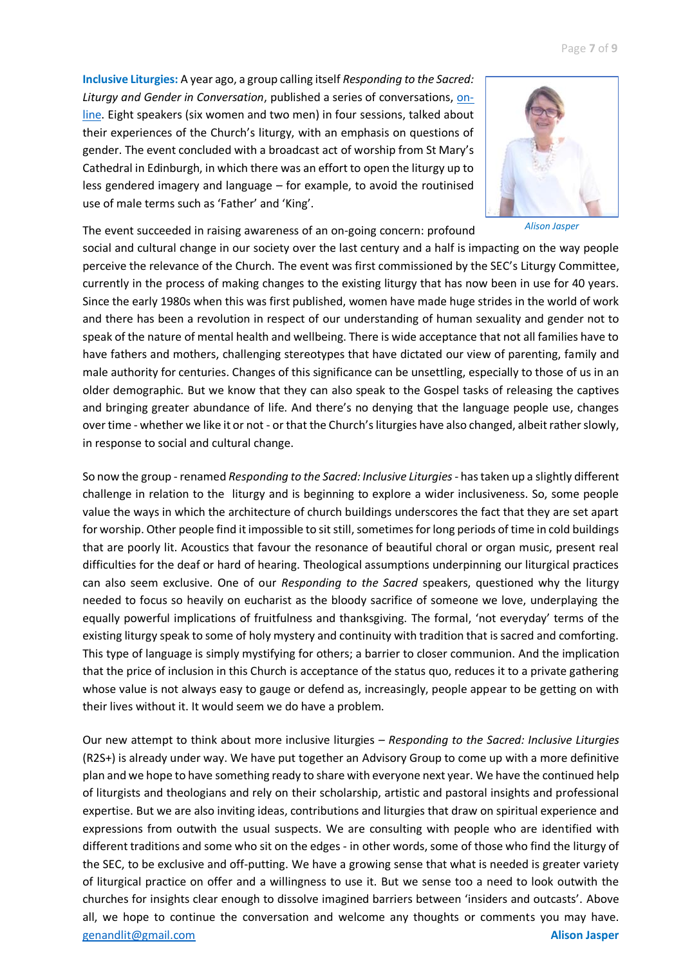**Inclusive Liturgies:** A year ago, a group calling itself *Responding to the Sacred: Liturgy and Gender in Conversation*, published a series of conversations, [on](https://www.facebook.com/genandlit/)[line.](https://www.facebook.com/genandlit/) Eight speakers (six women and two men) in four sessions, talked about their experiences of the Church's liturgy, with an emphasis on questions of gender. The event concluded with a broadcast act of worship from St Mary's Cathedral in Edinburgh, in which there was an effort to open the liturgy up to less gendered imagery and language – for example, to avoid the routinised use of male terms such as 'Father' and 'King'.



*Alison Jasper*

The event succeeded in raising awareness of an on-going concern: profound social and cultural change in our society over the last century and a half is impacting on the way people perceive the relevance of the Church. The event was first commissioned by the SEC's Liturgy Committee, currently in the process of making changes to the existing liturgy that has now been in use for 40 years. Since the early 1980s when this was first published, women have made huge strides in the world of work and there has been a revolution in respect of our understanding of human sexuality and gender not to speak of the nature of mental health and wellbeing. There is wide acceptance that not all families have to have fathers and mothers, challenging stereotypes that have dictated our view of parenting, family and male authority for centuries. Changes of this significance can be unsettling, especially to those of us in an older demographic. But we know that they can also speak to the Gospel tasks of releasing the captives and bringing greater abundance of life. And there's no denying that the language people use, changes over time - whether we like it or not - or that the Church's liturgies have also changed, albeit rather slowly, in response to social and cultural change.

So now the group -renamed *Responding to the Sacred: Inclusive Liturgies*- has taken up a slightly different challenge in relation to the liturgy and is beginning to explore a wider inclusiveness. So, some people value the ways in which the architecture of church buildings underscores the fact that they are set apart for worship. Other people find it impossible to sit still, sometimes for long periods of time in cold buildings that are poorly lit. Acoustics that favour the resonance of beautiful choral or organ music, present real difficulties for the deaf or hard of hearing. Theological assumptions underpinning our liturgical practices can also seem exclusive. One of our *Responding to the Sacred* speakers, questioned why the liturgy needed to focus so heavily on eucharist as the bloody sacrifice of someone we love, underplaying the equally powerful implications of fruitfulness and thanksgiving. The formal, 'not everyday' terms of the existing liturgy speak to some of holy mystery and continuity with tradition that is sacred and comforting. This type of language is simply mystifying for others; a barrier to closer communion. And the implication that the price of inclusion in this Church is acceptance of the status quo, reduces it to a private gathering whose value is not always easy to gauge or defend as, increasingly, people appear to be getting on with their lives without it. It would seem we do have a problem.

Our new attempt to think about more inclusive liturgies – *Responding to the Sacred: Inclusive Liturgies* (R2S+) is already under way. We have put together an Advisory Group to come up with a more definitive plan and we hope to have something ready to share with everyone next year. We have the continued help of liturgists and theologians and rely on their scholarship, artistic and pastoral insights and professional expertise. But we are also inviting ideas, contributions and liturgies that draw on spiritual experience and expressions from outwith the usual suspects. We are consulting with people who are identified with different traditions and some who sit on the edges - in other words, some of those who find the liturgy of the SEC, to be exclusive and off-putting. We have a growing sense that what is needed is greater variety of liturgical practice on offer and a willingness to use it. But we sense too a need to look outwith the churches for insights clear enough to dissolve imagined barriers between 'insiders and outcasts'. Above all, we hope to continue the conversation and welcome any thoughts or comments you may have. [genandlit@gmail.com](mailto:genandlit@gmail.com) **Alison Jasper**

Page **7** of **9**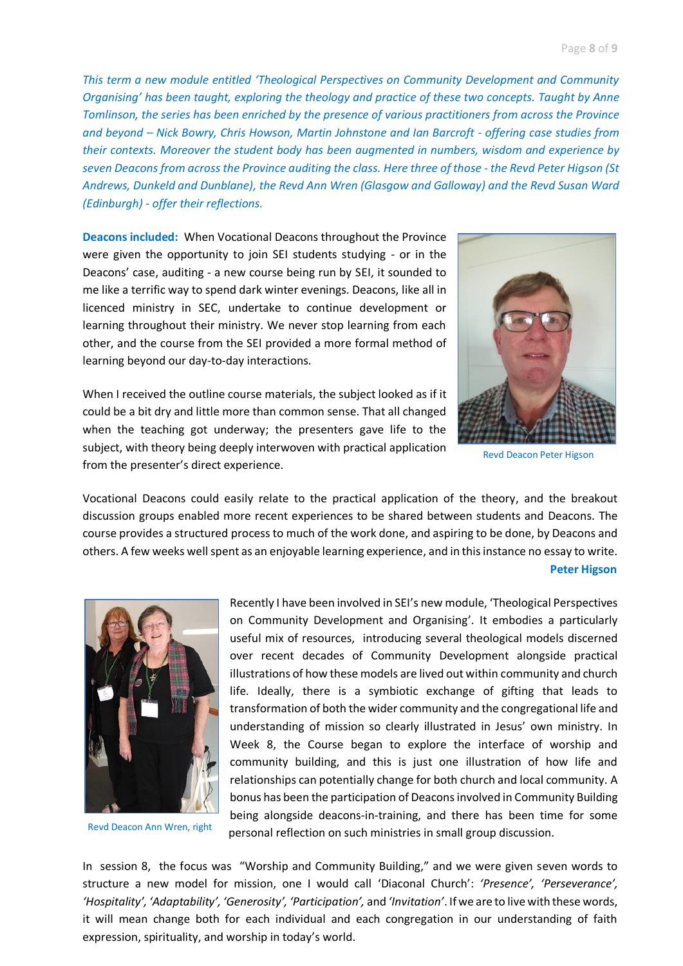*This term a new module entitled 'Theological Perspectives on Community Development and Community Organising' has been taught, exploring the theology and practice of these two concepts. Taught by Anne Tomlinson, the series has been enriched by the presence of various practitioners from across the Province and beyond – Nick Bowry, Chris Howson, Martin Johnstone and Ian Barcroft - offering case studies from their contexts. Moreover the student body has been augmented in numbers, wisdom and experience by seven Deacons from across the Province auditing the class. Here three of those - the Revd Peter Higson (St Andrews, Dunkeld and Dunblane), the Revd Ann Wren (Glasgow and Galloway) and the Revd Susan Ward (Edinburgh) - offer their reflections.* 

**Deacons included:** When Vocational Deacons throughout the Province were given the opportunity to join SEI students studying - or in the Deacons' case, auditing - a new course being run by SEI, it sounded to me like a terrific way to spend dark winter evenings. Deacons, like all in licenced ministry in SEC, undertake to continue development or learning throughout their ministry. We never stop learning from each other, and the course from the SEI provided a more formal method of learning beyond our day-to-day interactions.

When I received the outline course materials, the subject looked as if it could be a bit dry and little more than common sense. That all changed when the teaching got underway; the presenters gave life to the subject, with theory being deeply interwoven with practical application from the presenter's direct experience.



Revd Deacon Peter Higson

Vocational Deacons could easily relate to the practical application of the theory, and the breakout discussion groups enabled more recent experiences to be shared between students and Deacons. The course provides a structured process to much of the work done, and aspiring to be done, by Deacons and others. A few weeks well spent as an enjoyable learning experience, and in this instance no essay to write.  **Peter Higson**



Revd Deacon Ann Wren, right

Recently I have been involved in SEI's new module, 'Theological Perspectives on Community Development and Organising'. It embodies a particularly useful mix of resources, introducing several theological models discerned over recent decades of Community Development alongside practical illustrations of how these models are lived out within community and church life. Ideally, there is a symbiotic exchange of gifting that leads to transformation of both the wider community and the congregational life and understanding of mission so clearly illustrated in Jesus' own ministry. In Week 8, the Course began to explore the interface of worship and community building, and this is just one illustration of how life and relationships can potentially change for both church and local community. A bonus has been the participation of Deacons involved in Community Building being alongside deacons-in-training, and there has been time for some personal reflection on such ministries in small group discussion.

In session 8, the focus was "Worship and Community Building," and we were given seven words to structure a new model for mission, one I would call 'Diaconal Church': *'Presence', 'Perseverance', 'Hospitality', 'Adaptability', 'Generosity', 'Participation',* and *'Invitation'*. If we are to live with these words, it will mean change both for each individual and each congregation in our understanding of faith expression, spirituality, and worship in today's world.